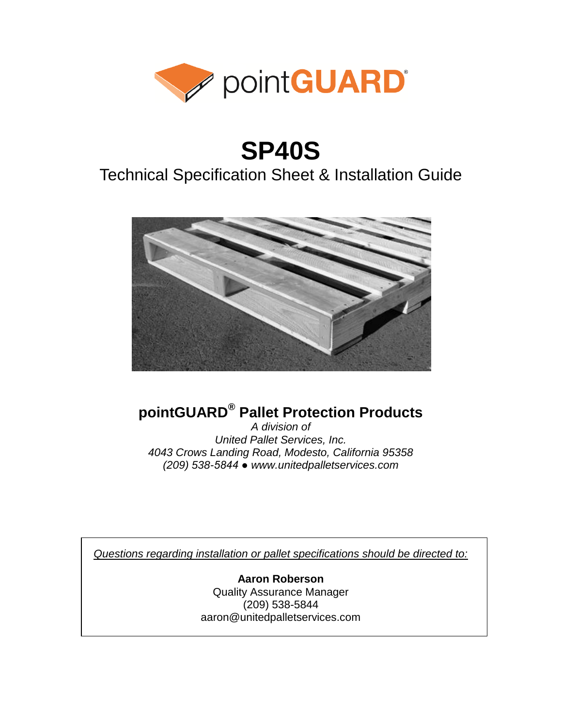

# **SP40S**

### Technical Specification Sheet & Installation Guide



### **pointGUARD® Pallet Protection Products**

*A division of United Pallet Services, Inc. 4043 Crows Landing Road, Modesto, California 95358 (209) 538-5844 ● www.unitedpalletservices.com*

*Questions regarding installation or pallet specifications should be directed to:*

**Aaron Roberson** Quality Assurance Manager (209) 538-5844 aaron@unitedpalletservices.com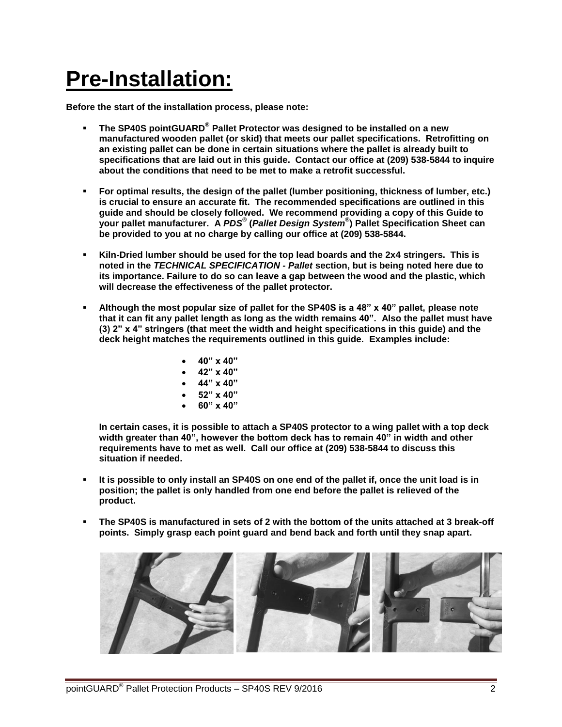# **Pre-Installation:**

**Before the start of the installation process, please note:**

- **The SP40S pointGUARD® Pallet Protector was designed to be installed on a new manufactured wooden pallet (or skid) that meets our pallet specifications. Retrofitting on an existing pallet can be done in certain situations where the pallet is already built to specifications that are laid out in this guide. Contact our office at (209) 538-5844 to inquire about the conditions that need to be met to make a retrofit successful.**
- **For optimal results, the design of the pallet (lumber positioning, thickness of lumber, etc.) is crucial to ensure an accurate fit. The recommended specifications are outlined in this guide and should be closely followed. We recommend providing a copy of this Guide to your pallet manufacturer. A** *PDS®* **(***Pallet Design System®* **) Pallet Specification Sheet can be provided to you at no charge by calling our office at (209) 538-5844.**
- **Kiln-Dried lumber should be used for the top lead boards and the 2x4 stringers. This is noted in the** *TECHNICAL SPECIFICATION - Pallet* **section, but is being noted here due to its importance. Failure to do so can leave a gap between the wood and the plastic, which will decrease the effectiveness of the pallet protector.**
- **Although the most popular size of pallet for the SP40S is a 48" x 40" pallet, please note that it can fit any pallet length as long as the width remains 40". Also the pallet must have (3) 2" x 4" stringers (that meet the width and height specifications in this guide) and the deck height matches the requirements outlined in this guide. Examples include:**
	- **40" x 40"**
	- **42" x 40"**
	- **44" x 40"**
	- **52" x 40"**
	- **60" x 40"**

**In certain cases, it is possible to attach a SP40S protector to a wing pallet with a top deck width greater than 40", however the bottom deck has to remain 40" in width and other requirements have to met as well. Call our office at (209) 538-5844 to discuss this situation if needed.**

- **It is possible to only install an SP40S on one end of the pallet if, once the unit load is in position; the pallet is only handled from one end before the pallet is relieved of the product.**
- **The SP40S is manufactured in sets of 2 with the bottom of the units attached at 3 break-off points. Simply grasp each point guard and bend back and forth until they snap apart.**

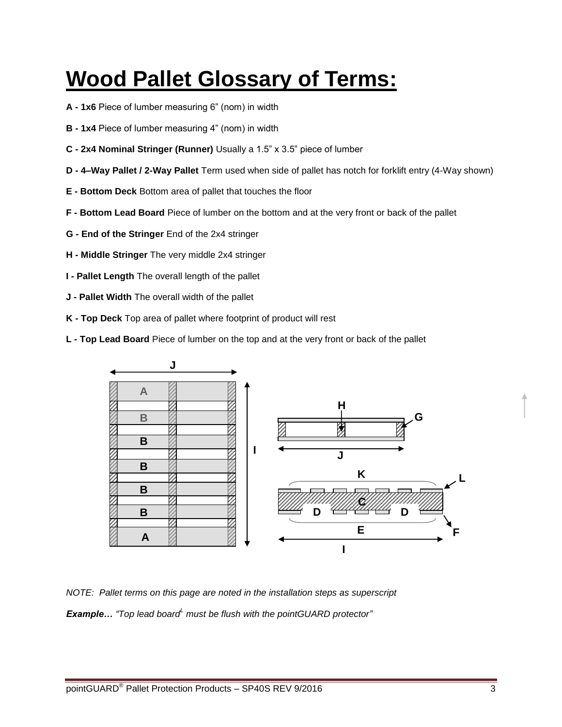## **Wood Pallet Glossary of Terms:**

- **A - 1x6** Piece of lumber measuring 6" (nom) in width
- **B - 1x4** Piece of lumber measuring 4" (nom) in width
- **C - 2x4 Nominal Stringer (Runner)** Usually a 1.5" x 3.5" piece of lumber
- **D - 4–Way Pallet / 2-Way Pallet** Term used when side of pallet has notch for forklift entry (4-Way shown)
- **E - Bottom Deck** Bottom area of pallet that touches the floor
- **F - Bottom Lead Board** Piece of lumber on the bottom and at the very front or back of the pallet
- **G - End of the Stringer** End of the 2x4 stringer
- **H - Middle Stringer** The very middle 2x4 stringer
- **I - Pallet Length** The overall length of the pallet
- **J - Pallet Width** The overall width of the pallet
- **K - Top Deck** Top area of pallet where footprint of product will rest
- **L - Top Lead Board** Piece of lumber on the top and at the very front or back of the pallet



*NOTE: Pallet terms on this page are noted in the installation steps as superscript Example… "Top lead board<sup>L</sup> must be flush with the pointGUARD protector"*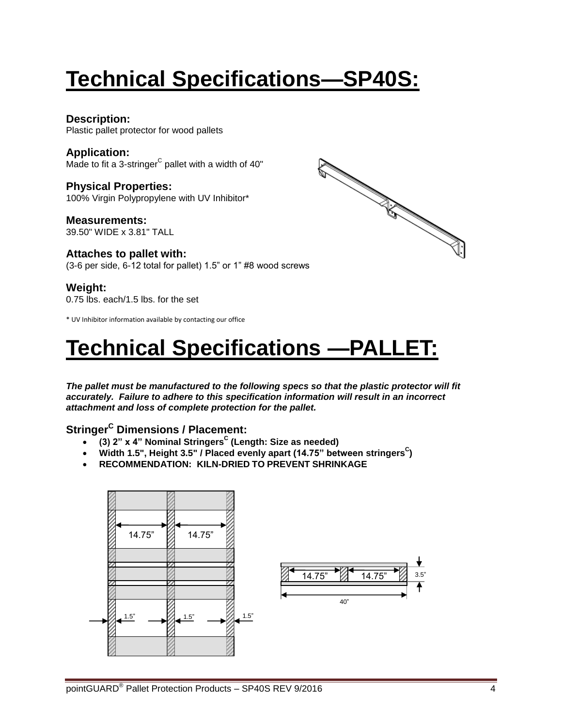# **Technical Specifications—SP40S:**

#### **Description:**

Plastic pallet protector for wood pallets

#### **Application:** Made to fit a 3-stringer<sup>C</sup> pallet with a width of 40"

**Physical Properties:** 100% Virgin Polypropylene with UV Inhibitor\*

**Measurements:** 39.50" WIDE x 3.81" TALL

#### **Attaches to pallet with:**

(3-6 per side, 6-12 total for pallet) 1.5" or 1" #8 wood screws

#### **Weight:**

0.75 lbs. each/1.5 lbs. for the set

\* UV Inhibitor information available by contacting our office

## **Technical Specifications —PALLET:**

*The pallet must be manufactured to the following specs so that the plastic protector will fit accurately. Failure to adhere to this specification information will result in an incorrect attachment and loss of complete protection for the pallet.*

#### **Stringer<sup>C</sup> Dimensions / Placement:**

- **(3) 2" x 4" Nominal Stringers<sup>C</sup> (Length: Size as needed)**
- Width 1.5", Height 3.5" / Placed evenly apart (14.75" between stringers<sup>C</sup>)
- **RECOMMENDATION: KILN-DRIED TO PREVENT SHRINKAGE**



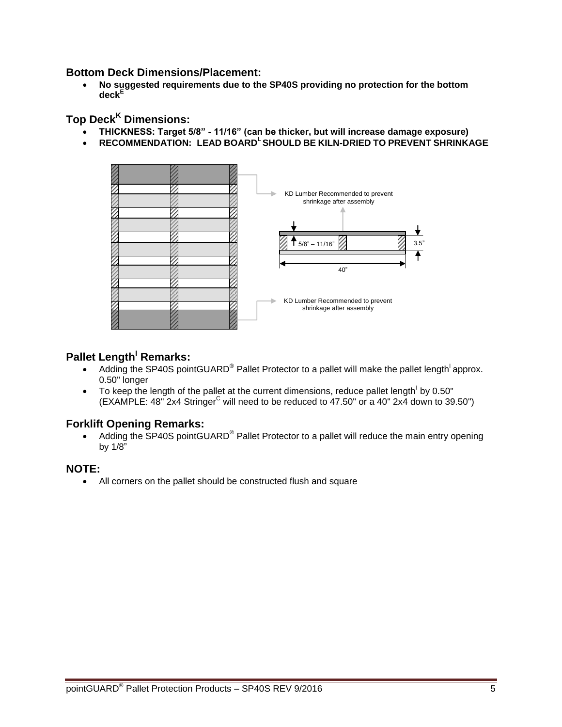#### **Bottom Deck Dimensions/Placement:**

 **No suggested requirements due to the SP40S providing no protection for the bottom deck<sup>E</sup>**

#### **Top Deck<sup>K</sup> Dimensions:**

- **THICKNESS: Target 5/8" - 11/16" (can be thicker, but will increase damage exposure)**
- **RECOMMENDATION: LEAD BOARD<sup>L</sup> SHOULD BE KILN-DRIED TO PREVENT SHRINKAGE**



#### **Pallet Length<sup>1</sup> Remarks:**

- Adding the SP40S pointGUARD<sup>®</sup> Pallet Protector to a pallet will make the pallet length<sup>1</sup> approx. 0.50" longer
- $\bullet$  To keep the length of the pallet at the current dimensions, reduce pallet length by 0.50"  $(EXAMPLE: 48"$  2x4 Stringer<sup>C</sup> will need to be reduced to 47.50" or a 40" 2x4 down to 39.50")

#### **Forklift Opening Remarks:**

• Adding the SP40S pointGUARD® Pallet Protector to a pallet will reduce the main entry opening by 1/8"

#### **NOTE:**

All corners on the pallet should be constructed flush and square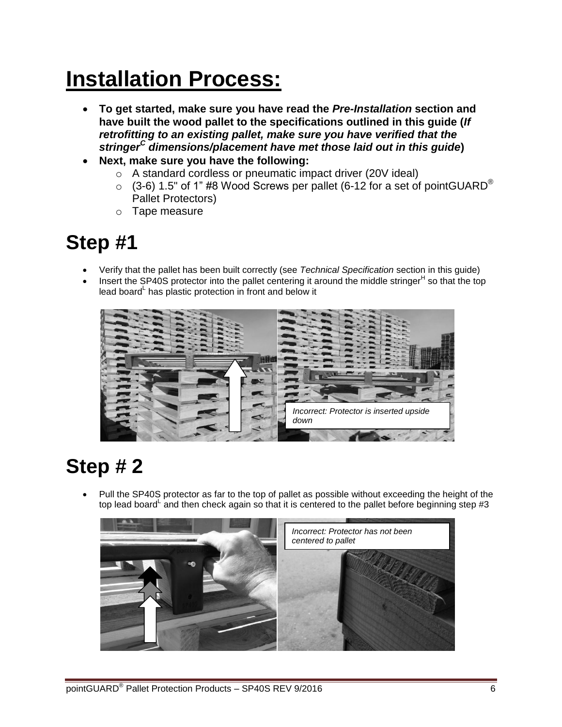## **Installation Process:**

- **To get started, make sure you have read the** *Pre-Installation* **section and have built the wood pallet to the specifications outlined in this guide (***If retrofitting to an existing pallet, make sure you have verified that the stringer<sup>C</sup> dimensions/placement have met those laid out in this guide***)**
- **Next, make sure you have the following:** 
	- o A standard cordless or pneumatic impact driver (20V ideal)
	- $\circ$  (3-6) 1.5" of 1" #8 Wood Screws per pallet (6-12 for a set of pointGUARD<sup>®</sup> Pallet Protectors)
	- o Tape measure

### **Step #1**

- Verify that the pallet has been built correctly (see *Technical Specification* section in this guide)
- $\bullet$  Insert the SP40S protector into the pallet centering it around the middle stringer<sup>H</sup> so that the top lead board <sup>L</sup> has plastic protection in front and below it



### **Step # 2**

 Pull the SP40S protector as far to the top of pallet as possible without exceeding the height of the top lead board and then check again so that it is centered to the pallet before beginning step #3

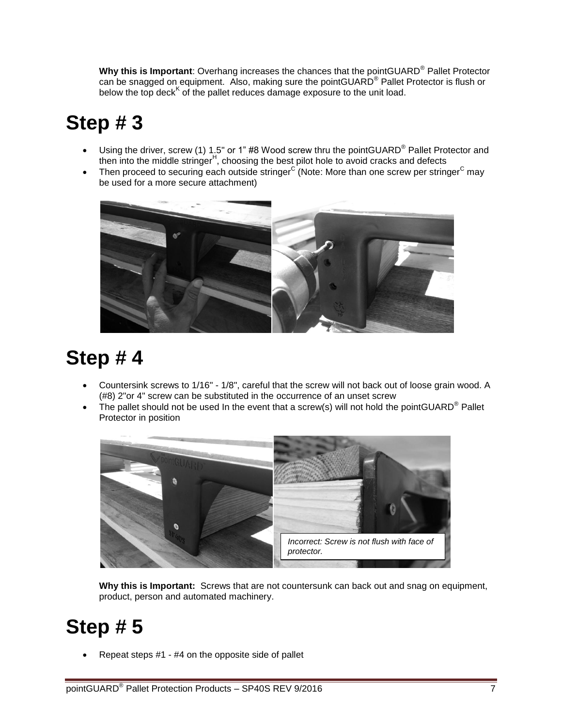**Why this is Important**: Overhang increases the chances that the pointGUARD® Pallet Protector can be snagged on equipment. Also, making sure the pointGUARD® Pallet Protector is flush or below the top deck<sup>K</sup> of the pallet reduces damage exposure to the unit load.

## **Step # 3**

- Using the driver, screw (1) 1.5" or 1" #8 Wood screw thru the pointGUARD<sup>®</sup> Pallet Protector and then into the middle stringer<sup>H</sup>, choosing the best pilot hole to avoid cracks and defects
- Then proceed to securing each outside stringer<sup>C</sup> (Note: More than one screw per stringer<sup>C</sup> may be used for a more secure attachment)



### **Step # 4**

- Countersink screws to 1/16" 1/8", careful that the screw will not back out of loose grain wood. A (#8) 2"or 4" screw can be substituted in the occurrence of an unset screw
- The pallet should not be used In the event that a screw(s) will not hold the pointGUARD<sup>®</sup> Pallet Protector in position



**Why this is Important:** Screws that are not countersunk can back out and snag on equipment, product, person and automated machinery.

### **Step # 5**

Repeat steps #1 - #4 on the opposite side of pallet